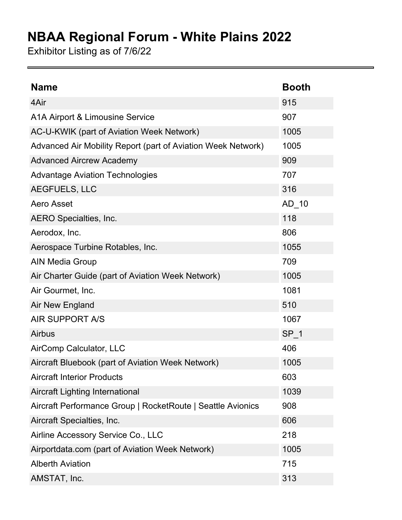## **NBAA Regional Forum - White Plains 2022**

Exhibitor Listing as of 7/6/22

| <b>Name</b>                                                  | <b>Booth</b> |
|--------------------------------------------------------------|--------------|
| 4Air                                                         | 915          |
| A1A Airport & Limousine Service                              | 907          |
| AC-U-KWIK (part of Aviation Week Network)                    | 1005         |
| Advanced Air Mobility Report (part of Aviation Week Network) | 1005         |
| <b>Advanced Aircrew Academy</b>                              | 909          |
| <b>Advantage Aviation Technologies</b>                       | 707          |
| AEGFUELS, LLC                                                | 316          |
| Aero Asset                                                   | AD 10        |
| AERO Specialties, Inc.                                       | 118          |
| Aerodox, Inc.                                                | 806          |
| Aerospace Turbine Rotables, Inc.                             | 1055         |
| <b>AIN Media Group</b>                                       | 709          |
| Air Charter Guide (part of Aviation Week Network)            | 1005         |
| Air Gourmet, Inc.                                            | 1081         |
| Air New England                                              | 510          |
| <b>AIR SUPPORT A/S</b>                                       | 1067         |
| <b>Airbus</b>                                                | $SP_1$       |
| AirComp Calculator, LLC                                      | 406          |
| Aircraft Bluebook (part of Aviation Week Network)            | 1005         |
| <b>Aircraft Interior Products</b>                            | 603          |
| <b>Aircraft Lighting International</b>                       | 1039         |
| Aircraft Performance Group   RocketRoute   Seattle Avionics  | 908          |
| Aircraft Specialties, Inc.                                   | 606          |
| Airline Accessory Service Co., LLC                           | 218          |
| Airportdata.com (part of Aviation Week Network)              | 1005         |
| <b>Alberth Aviation</b>                                      | 715          |
| AMSTAT, Inc.                                                 | 313          |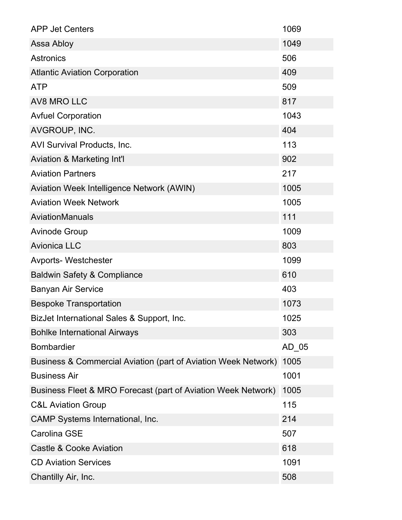| <b>APP Jet Centers</b>                                         | 1069  |
|----------------------------------------------------------------|-------|
| Assa Abloy                                                     | 1049  |
| <b>Astronics</b>                                               | 506   |
| <b>Atlantic Aviation Corporation</b>                           | 409   |
| <b>ATP</b>                                                     | 509   |
| <b>AV8 MRO LLC</b>                                             | 817   |
| <b>Avfuel Corporation</b>                                      | 1043  |
| AVGROUP, INC.                                                  | 404   |
| AVI Survival Products, Inc.                                    | 113   |
| Aviation & Marketing Int'l                                     | 902   |
| <b>Aviation Partners</b>                                       | 217   |
| Aviation Week Intelligence Network (AWIN)                      | 1005  |
| <b>Aviation Week Network</b>                                   | 1005  |
| AviationManuals                                                | 111   |
| <b>Avinode Group</b>                                           | 1009  |
| <b>Avionica LLC</b>                                            | 803   |
| <b>Avports-Westchester</b>                                     | 1099  |
| <b>Baldwin Safety &amp; Compliance</b>                         | 610   |
| <b>Banyan Air Service</b>                                      | 403   |
| <b>Bespoke Transportation</b>                                  | 1073  |
| BizJet International Sales & Support, Inc.                     | 1025  |
| <b>Bohlke International Airways</b>                            | 303   |
| <b>Bombardier</b>                                              | AD 05 |
| Business & Commercial Aviation (part of Aviation Week Network) | 1005  |
| <b>Business Air</b>                                            | 1001  |
| Business Fleet & MRO Forecast (part of Aviation Week Network)  | 1005  |
| <b>C&amp;L Aviation Group</b>                                  | 115   |
| <b>CAMP Systems International, Inc.</b>                        | 214   |
| <b>Carolina GSE</b>                                            | 507   |
| <b>Castle &amp; Cooke Aviation</b>                             | 618   |
| <b>CD Aviation Services</b>                                    | 1091  |
| Chantilly Air, Inc.                                            | 508   |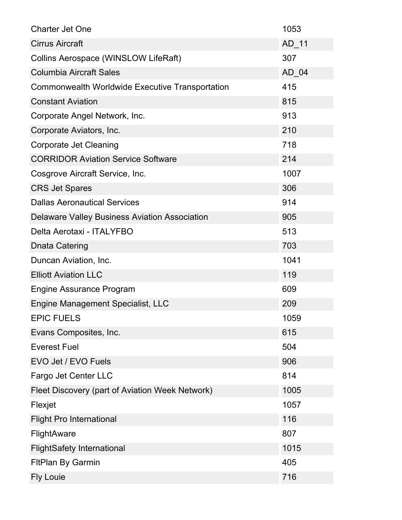| <b>Charter Jet One</b>                                 | 1053    |
|--------------------------------------------------------|---------|
| <b>Cirrus Aircraft</b>                                 | AD_11   |
| <b>Collins Aerospace (WINSLOW LifeRaft)</b>            | 307     |
| <b>Columbia Aircraft Sales</b>                         | $AD_04$ |
| <b>Commonwealth Worldwide Executive Transportation</b> | 415     |
| <b>Constant Aviation</b>                               | 815     |
| Corporate Angel Network, Inc.                          | 913     |
| Corporate Aviators, Inc.                               | 210     |
| <b>Corporate Jet Cleaning</b>                          | 718     |
| <b>CORRIDOR Aviation Service Software</b>              | 214     |
| Cosgrove Aircraft Service, Inc.                        | 1007    |
| <b>CRS Jet Spares</b>                                  | 306     |
| <b>Dallas Aeronautical Services</b>                    | 914     |
| <b>Delaware Valley Business Aviation Association</b>   | 905     |
| Delta Aerotaxi - ITALYFBO                              | 513     |
| <b>Dnata Catering</b>                                  | 703     |
| Duncan Aviation, Inc.                                  | 1041    |
| <b>Elliott Aviation LLC</b>                            | 119     |
| <b>Engine Assurance Program</b>                        | 609     |
| Engine Management Specialist, LLC                      | 209     |
| <b>EPIC FUELS</b>                                      | 1059    |
| Evans Composites, Inc.                                 | 615     |
| <b>Everest Fuel</b>                                    | 504     |
| EVO Jet / EVO Fuels                                    | 906     |
| Fargo Jet Center LLC                                   | 814     |
| Fleet Discovery (part of Aviation Week Network)        | 1005    |
| Flexjet                                                | 1057    |
| <b>Flight Pro International</b>                        | 116     |
| <b>FlightAware</b>                                     | 807     |
| <b>FlightSafety International</b>                      | 1015    |
| <b>FitPlan By Garmin</b>                               | 405     |
| <b>Fly Louie</b>                                       | 716     |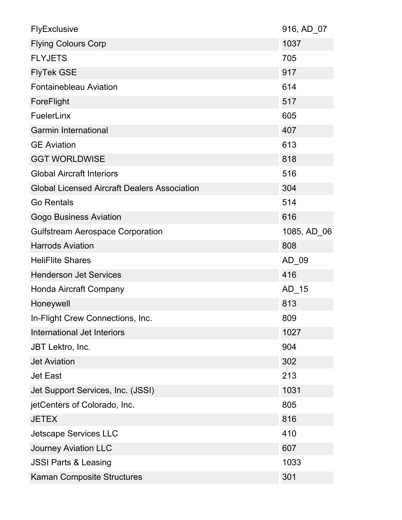| FlyExclusive                                        | 916, AD 07  |
|-----------------------------------------------------|-------------|
| <b>Flying Colours Corp</b>                          | 1037        |
| <b>FLYJETS</b>                                      | 705         |
| <b>FlyTek GSE</b>                                   | 917         |
| <b>Fontainebleau Aviation</b>                       | 614         |
| ForeFlight                                          | 517         |
| FuelerLinx                                          | 605         |
| <b>Garmin International</b>                         | 407         |
| <b>GE Aviation</b>                                  | 613         |
| <b>GGT WORLDWISE</b>                                | 818         |
| <b>Global Aircraft Interiors</b>                    | 516         |
| <b>Global Licensed Aircraft Dealers Association</b> | 304         |
| <b>Go Rentals</b>                                   | 514         |
| <b>Gogo Business Aviation</b>                       | 616         |
| <b>Gulfstream Aerospace Corporation</b>             | 1085, AD 06 |
| <b>Harrods Aviation</b>                             | 808         |
| <b>HeliFlite Shares</b>                             | AD_09       |
| <b>Henderson Jet Services</b>                       | 416         |
| Honda Aircraft Company                              | $AD_15$     |
| Honeywell                                           | 813         |
| In-Flight Crew Connections, Inc.                    | 809         |
| International Jet Interiors                         | 1027        |
| JBT Lektro, Inc.                                    | 904         |
| <b>Jet Aviation</b>                                 | 302         |
| <b>Jet East</b>                                     | 213         |
| Jet Support Services, Inc. (JSSI)                   | 1031        |
| jetCenters of Colorado, Inc.                        | 805         |
| <b>JETEX</b>                                        | 816         |
| <b>Jetscape Services LLC</b>                        | 410         |
| <b>Journey Aviation LLC</b>                         | 607         |
| <b>JSSI Parts &amp; Leasing</b>                     | 1033        |
| <b>Kaman Composite Structures</b>                   | 301         |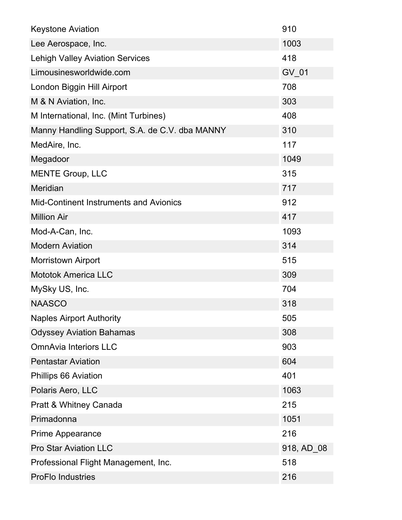| <b>Keystone Aviation</b>                       | 910        |
|------------------------------------------------|------------|
| Lee Aerospace, Inc.                            | 1003       |
| <b>Lehigh Valley Aviation Services</b>         | 418        |
| Limousinesworldwide.com                        | GV 01      |
| London Biggin Hill Airport                     | 708        |
| M & N Aviation, Inc.                           | 303        |
| M International, Inc. (Mint Turbines)          | 408        |
| Manny Handling Support, S.A. de C.V. dba MANNY | 310        |
| MedAire, Inc.                                  | 117        |
| Megadoor                                       | 1049       |
| <b>MENTE Group, LLC</b>                        | 315        |
| <b>Meridian</b>                                | 717        |
| <b>Mid-Continent Instruments and Avionics</b>  | 912        |
| <b>Million Air</b>                             | 417        |
| Mod-A-Can, Inc.                                | 1093       |
| <b>Modern Aviation</b>                         | 314        |
| <b>Morristown Airport</b>                      | 515        |
| <b>Mototok America LLC</b>                     | 309        |
| MySky US, Inc.                                 | 704        |
| <b>NAASCO</b>                                  | 318        |
| <b>Naples Airport Authority</b>                | 505        |
| <b>Odyssey Aviation Bahamas</b>                | 308        |
| <b>OmnAvia Interiors LLC</b>                   | 903        |
| <b>Pentastar Aviation</b>                      | 604        |
| Phillips 66 Aviation                           | 401        |
| Polaris Aero, LLC                              | 1063       |
| Pratt & Whitney Canada                         | 215        |
| Primadonna                                     | 1051       |
| <b>Prime Appearance</b>                        | 216        |
| <b>Pro Star Aviation LLC</b>                   | 918, AD 08 |
| Professional Flight Management, Inc.           | 518        |
| <b>ProFlo Industries</b>                       | 216        |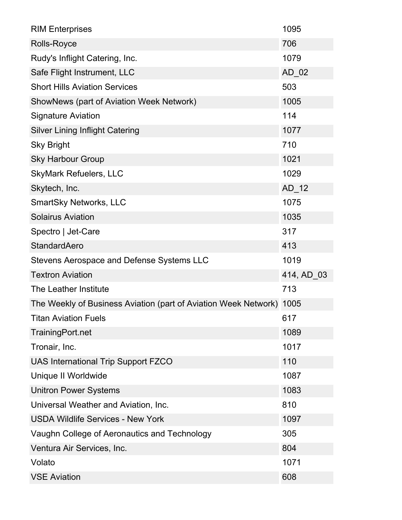| <b>RIM Enterprises</b>                                          | 1095       |
|-----------------------------------------------------------------|------------|
| Rolls-Royce                                                     | 706        |
| Rudy's Inflight Catering, Inc.                                  | 1079       |
| Safe Flight Instrument, LLC                                     | $AD_02$    |
| <b>Short Hills Aviation Services</b>                            | 503        |
| ShowNews (part of Aviation Week Network)                        | 1005       |
| <b>Signature Aviation</b>                                       | 114        |
| <b>Silver Lining Inflight Catering</b>                          | 1077       |
| <b>Sky Bright</b>                                               | 710        |
| <b>Sky Harbour Group</b>                                        | 1021       |
| <b>SkyMark Refuelers, LLC</b>                                   | 1029       |
| Skytech, Inc.                                                   | $AD_12$    |
| <b>SmartSky Networks, LLC</b>                                   | 1075       |
| <b>Solairus Aviation</b>                                        | 1035       |
| Spectro   Jet-Care                                              | 317        |
| <b>StandardAero</b>                                             | 413        |
| Stevens Aerospace and Defense Systems LLC                       | 1019       |
| <b>Textron Aviation</b>                                         | 414, AD 03 |
| The Leather Institute                                           | 713        |
| The Weekly of Business Aviation (part of Aviation Week Network) | 1005       |
| <b>Titan Aviation Fuels</b>                                     | 617        |
| TrainingPort.net                                                | 1089       |
| Tronair, Inc.                                                   | 1017       |
| UAS International Trip Support FZCO                             | 110        |
| Unique II Worldwide                                             | 1087       |
| <b>Unitron Power Systems</b>                                    | 1083       |
| Universal Weather and Aviation, Inc.                            | 810        |
| <b>USDA Wildlife Services - New York</b>                        | 1097       |
| Vaughn College of Aeronautics and Technology                    | 305        |
| Ventura Air Services, Inc.                                      | 804        |
| Volato                                                          | 1071       |
| <b>VSE Aviation</b>                                             | 608        |